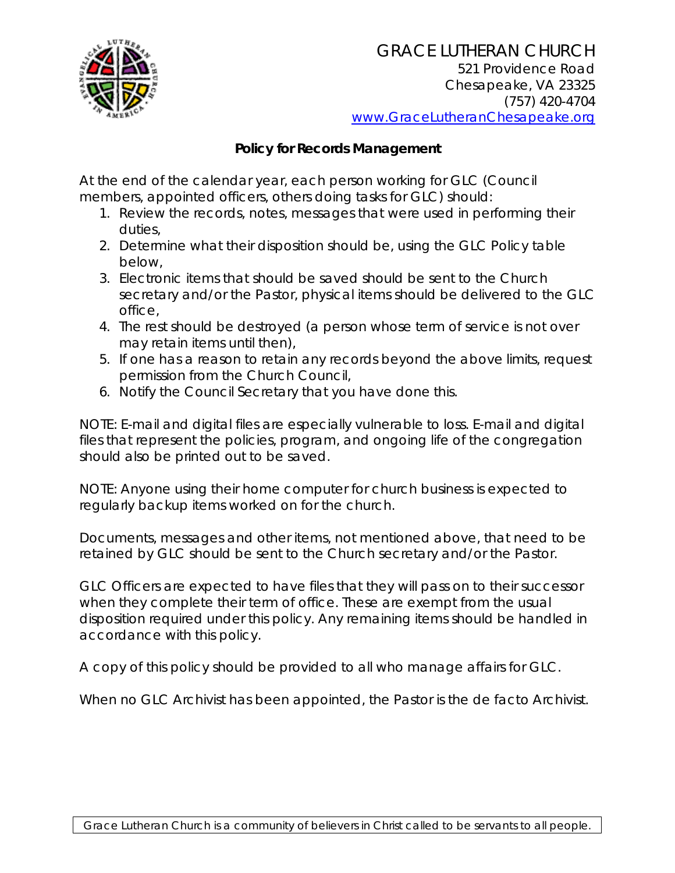

## **Policy for Records Management**

At the end of the calendar year, each person working for GLC (Council members, appointed officers, others doing tasks for GLC) should:

- 1. Review the records, notes, messages that were used in performing their duties,
- 2. Determine what their disposition should be, using the GLC Policy table below,
- 3. Electronic items that should be saved should be sent to the Church secretary and/or the Pastor, physical items should be delivered to the GLC office,
- 4. The rest should be destroyed (a person whose term of service is not over may retain items until then),
- 5. If one has a reason to retain any records beyond the above limits, request permission from the Church Council,
- 6. Notify the Council Secretary that you have done this.

NOTE: E-mail and digital files are especially vulnerable to loss. E-mail and digital files that represent the policies, program, and ongoing life of the congregation should also be printed out to be saved.

NOTE: Anyone using their home computer for church business is expected to regularly backup items worked on for the church.

Documents, messages and other items, not mentioned above, that need to be retained by GLC should be sent to the Church secretary and/or the Pastor.

GLC Officers are expected to have files that they will pass on to their successor when they complete their term of office. These are exempt from the usual disposition required under this policy. Any remaining items should be handled in accordance with this policy.

A copy of this policy should be provided to all who manage affairs for GLC.

When no GLC Archivist has been appointed, the Pastor is the *de facto* Archivist.